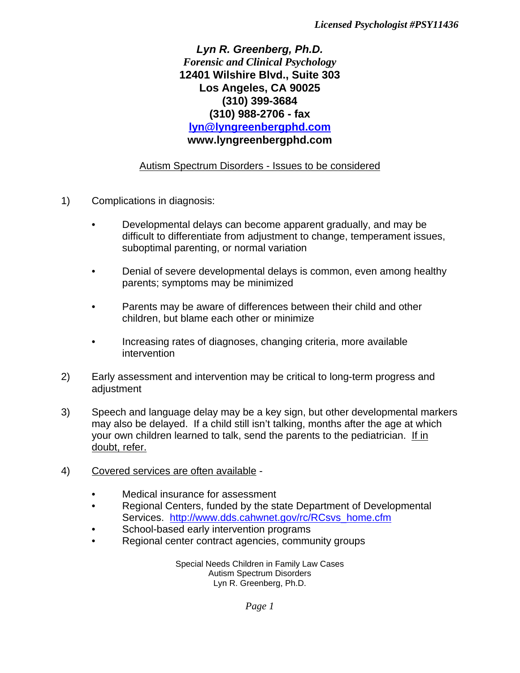*Lyn R. Greenberg, Ph.D. Forensic and Clinical Psychology* **12401 Wilshire Blvd., Suite 303 Los Angeles, CA 90025 (310) 399-3684 (310) 988-2706 - fax lyn@lyngreenbergphd.com www.lyngreenbergphd.com**

## Autism Spectrum Disorders - Issues to be considered

- 1) Complications in diagnosis:
	- Developmental delays can become apparent gradually, and may be difficult to differentiate from adjustment to change, temperament issues, suboptimal parenting, or normal variation
	- Denial of severe developmental delays is common, even among healthy parents; symptoms may be minimized
	- Parents may be aware of differences between their child and other children, but blame each other or minimize
	- Increasing rates of diagnoses, changing criteria, more available intervention
- 2) Early assessment and intervention may be critical to long-term progress and adjustment
- 3) Speech and language delay may be a key sign, but other developmental markers may also be delayed. If a child still isn't talking, months after the age at which your own children learned to talk, send the parents to the pediatrician. If in doubt, refer.
- 4) Covered services are often available
	- Medical insurance for assessment
	- Regional Centers, funded by the state Department of Developmental Services. http://www.dds.cahwnet.gov/rc/RCsvs\_home.cfm
	- School-based early intervention programs
	- Regional center contract agencies, community groups

Special Needs Children in Family Law Cases Autism Spectrum Disorders Lyn R. Greenberg, Ph.D.

*Page 1*